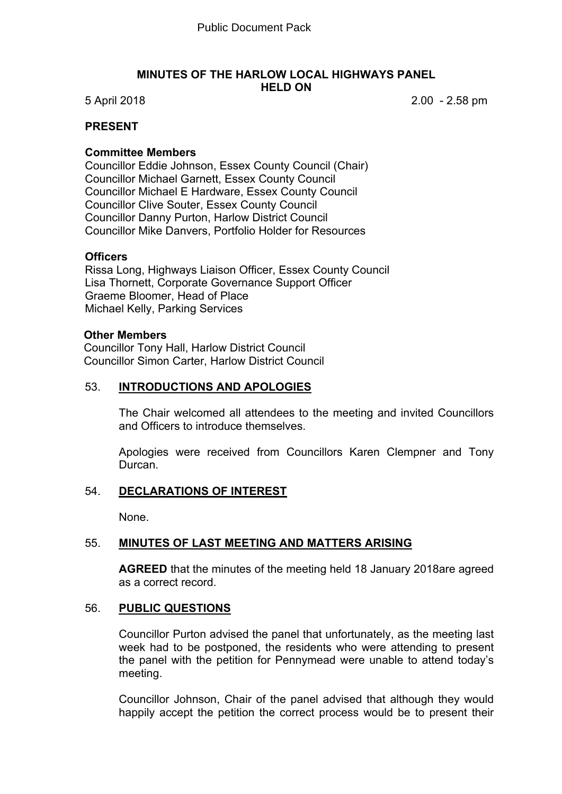## **MINUTES OF THE HARLOW LOCAL HIGHWAYS PANEL HELD ON**

5 April 2018 2.00 - 2.58 pm

## **PRESENT**

## **Committee Members**

Councillor Eddie Johnson, Essex County Council (Chair) Councillor Michael Garnett, Essex County Council Councillor Michael E Hardware, Essex County Council Councillor Clive Souter, Essex County Council Councillor Danny Purton, Harlow District Council Councillor Mike Danvers, Portfolio Holder for Resources

## **Officers**

Rissa Long, Highways Liaison Officer, Essex County Council Lisa Thornett, Corporate Governance Support Officer Graeme Bloomer, Head of Place Michael Kelly, Parking Services

#### **Other Members**

Councillor Tony Hall, Harlow District Council Councillor Simon Carter, Harlow District Council

#### 53. **INTRODUCTIONS AND APOLOGIES**

The Chair welcomed all attendees to the meeting and invited Councillors and Officers to introduce themselves.

Apologies were received from Councillors Karen Clempner and Tony Durcan.

#### 54. **DECLARATIONS OF INTEREST**

None.

#### 55. **MINUTES OF LAST MEETING AND MATTERS ARISING**

**AGREED** that the minutes of the meeting held 18 January 2018are agreed as a correct record.

#### 56. **PUBLIC QUESTIONS**

Councillor Purton advised the panel that unfortunately, as the meeting last week had to be postponed, the residents who were attending to present the panel with the petition for Pennymead were unable to attend today's meeting.

Councillor Johnson, Chair of the panel advised that although they would happily accept the petition the correct process would be to present their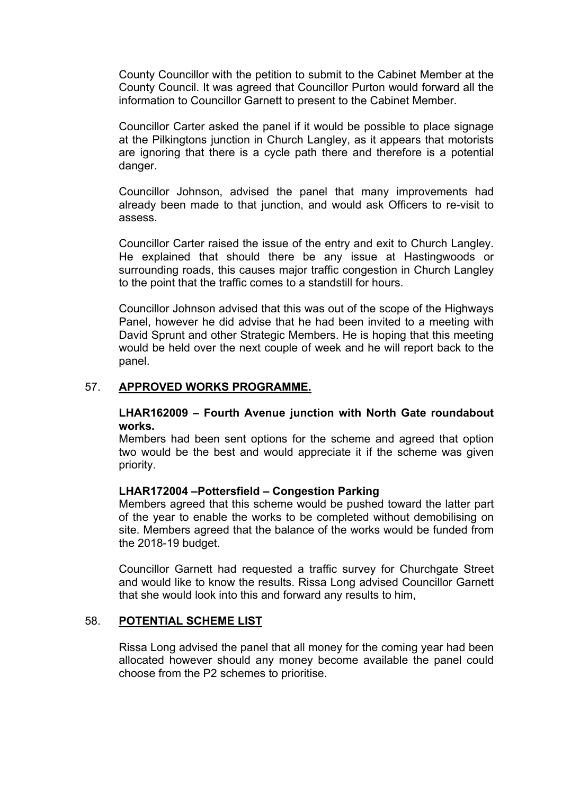County Councillor with the petition to submit to the Cabinet Member at the County Council. It was agreed that Councillor Purton would forward all the information to Councillor Garnett to present to the Cabinet Member.

Councillor Carter asked the panel if it would be possible to place signage at the Pilkingtons junction in Church Langley, as it appears that motorists are ignoring that there is a cycle path there and therefore is a potential danger.

Councillor Johnson, advised the panel that many improvements had already been made to that junction, and would ask Officers to re-visit to assess.

Councillor Carter raised the issue of the entry and exit to Church Langley. He explained that should there be any issue at Hastingwoods or surrounding roads, this causes major traffic congestion in Church Langley to the point that the traffic comes to a standstill for hours.

Councillor Johnson advised that this was out of the scope of the Highways Panel, however he did advise that he had been invited to a meeting with David Sprunt and other Strategic Members. He is hoping that this meeting would be held over the next couple of week and he will report back to the panel.

## 57. **APPROVED WORKS PROGRAMME.**

**LHAR162009 – Fourth Avenue junction with North Gate roundabout works.**

Members had been sent options for the scheme and agreed that option two would be the best and would appreciate it if the scheme was given priority.

#### **LHAR172004 –Pottersfield – Congestion Parking**

Members agreed that this scheme would be pushed toward the latter part of the year to enable the works to be completed without demobilising on site. Members agreed that the balance of the works would be funded from the 2018-19 budget.

Councillor Garnett had requested a traffic survey for Churchgate Street and would like to know the results. Rissa Long advised Councillor Garnett that she would look into this and forward any results to him,

#### 58. **POTENTIAL SCHEME LIST**

Rissa Long advised the panel that all money for the coming year had been allocated however should any money become available the panel could choose from the P2 schemes to prioritise.